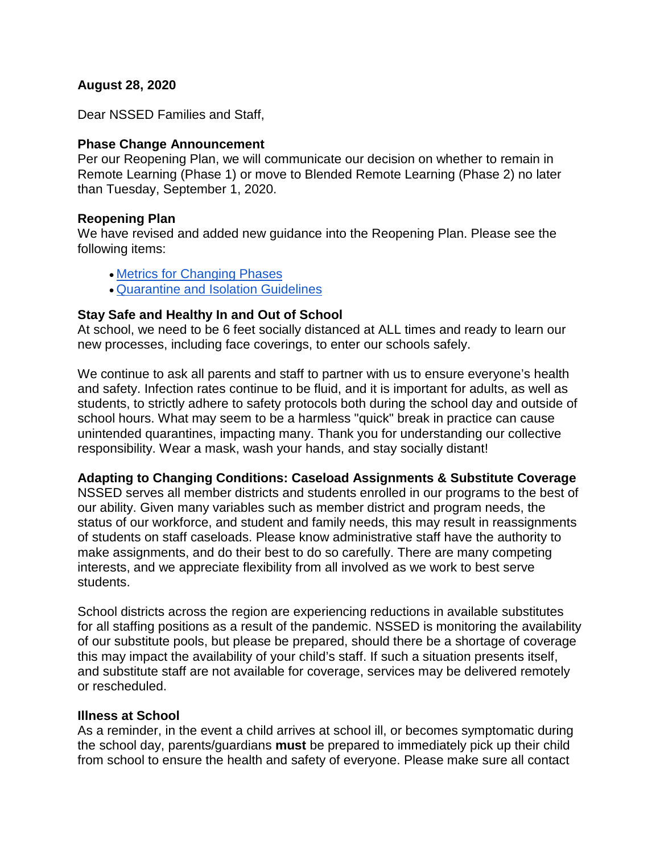## **August 28, 2020**

Dear NSSED Families and Staff,

## **Phase Change Announcement**

Per our Reopening Plan, we will communicate our decision on whether to remain in Remote Learning (Phase 1) or move to Blended Remote Learning (Phase 2) no later than Tuesday, September 1, 2020.

## **Reopening Plan**

We have revised and added new guidance into the Reopening Plan. Please see the following items:

- [Metrics for Changing Phases](https://docs.google.com/document/d/1fSOHV3Ld9J0ByBo7kV4N7W9WHFpFBQBibNOo2wILNcw/edit#heading=h.d4bh2mlnmg5y)
- [Quarantine and Isolation Guidelines](https://docs.google.com/document/d/1fSOHV3Ld9J0ByBo7kV4N7W9WHFpFBQBibNOo2wILNcw/edit#heading=h.avqrpbkr38dt)

## **Stay Safe and Healthy In and Out of School**

At school, we need to be 6 feet socially distanced at ALL times and ready to learn our new processes, including face coverings, to enter our schools safely.

We continue to ask all parents and staff to partner with us to ensure everyone's health and safety. Infection rates continue to be fluid, and it is important for adults, as well as students, to strictly adhere to safety protocols both during the school day and outside of school hours. What may seem to be a harmless "quick" break in practice can cause unintended quarantines, impacting many. Thank you for understanding our collective responsibility. Wear a mask, wash your hands, and stay socially distant!

#### **Adapting to Changing Conditions: Caseload Assignments & Substitute Coverage**

NSSED serves all member districts and students enrolled in our programs to the best of our ability. Given many variables such as member district and program needs, the status of our workforce, and student and family needs, this may result in reassignments of students on staff caseloads. Please know administrative staff have the authority to make assignments, and do their best to do so carefully. There are many competing interests, and we appreciate flexibility from all involved as we work to best serve students.

School districts across the region are experiencing reductions in available substitutes for all staffing positions as a result of the pandemic. NSSED is monitoring the availability of our substitute pools, but please be prepared, should there be a shortage of coverage this may impact the availability of your child's staff. If such a situation presents itself, and substitute staff are not available for coverage, services may be delivered remotely or rescheduled.

#### **Illness at School**

As a reminder, in the event a child arrives at school ill, or becomes symptomatic during the school day, parents/guardians **must** be prepared to immediately pick up their child from school to ensure the health and safety of everyone. Please make sure all contact